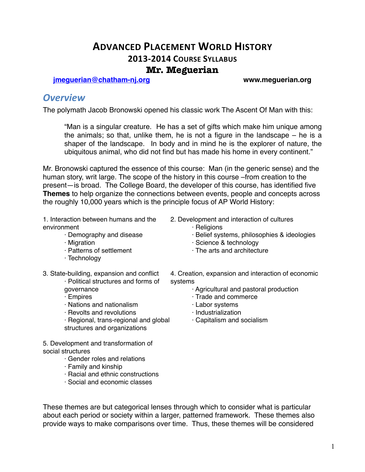### **ADVANCED PLACEMENT WORLD HISTORY 2013-2014 COURSE SYLLABUS Mr. Meguerian**

**[jmeguerian@chatham-nj.org](mailto:jmeguerian@chatham-nj.org) www.meguerian.org**

### *Overview*

The polymath Jacob Bronowski opened his classic work The Ascent Of Man with this:

"Man is a singular creature. He has a set of gifts which make him unique among the animals; so that, unlike them, he is not a figure in the landscape – he is a shaper of the landscape. In body and in mind he is the explorer of nature, the ubiquitous animal, who did not find but has made his home in every continent."

Mr. Bronowski captured the essence of this course: Man (in the generic sense) and the human story, writ large. The scope of the history in this course –from creation to the present—is broad. The College Board, the developer of this course, has identified five **Themes** to help organize the connections between events, people and concepts across the roughly 10,000 years which is the principle focus of AP World History:

1. Interaction between humans and the environment

- · Demography and disease
- · Migration
- · Patterns of settlement
- · Technology
- 3. State-building, expansion and conflict

· Political structures and forms of governance

- · Empires
- · Nations and nationalism
- · Revolts and revolutions

· Regional, trans-regional and global structures and organizations

5. Development and transformation of social structures

- · Gender roles and relations
- · Family and kinship
- · Racial and ethnic constructions
- · Social and economic classes
- 2. Development and interaction of cultures
	- · Religions
	- · Belief systems, philosophies & ideologies
	- · Science & technology
	- · The arts and architecture
- 4. Creation, expansion and interaction of economic systems
	- · Agricultural and pastoral production
	- · Trade and commerce
	- · Labor systems
	- · Industrialization
	- · Capitalism and socialism

These themes are but categorical lenses through which to consider what is particular about each period or society within a larger, patterned framework. These themes also provide ways to make comparisons over time. Thus, these themes will be considered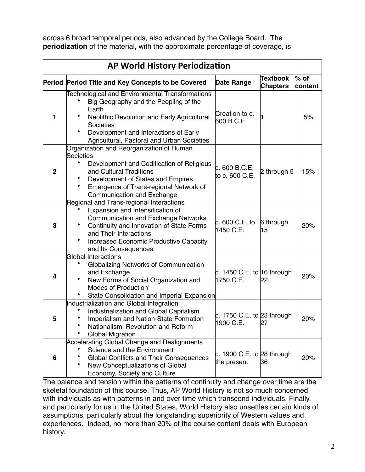across 6 broad temporal periods, also advanced by the College Board. The **periodization** of the material, with the approximate percentage of coverage, is

| <b>AP World History Periodization</b> |                                                                                                                                                                                                                                                                           |                                             |                                    |                   |
|---------------------------------------|---------------------------------------------------------------------------------------------------------------------------------------------------------------------------------------------------------------------------------------------------------------------------|---------------------------------------------|------------------------------------|-------------------|
|                                       | Period Period Title and Key Concepts to be Covered                                                                                                                                                                                                                        | <b>Date Range</b>                           | <b>Textbook</b><br><b>Chapters</b> | $%$ of<br>content |
| 1                                     | <b>Technological and Environmental Transformations</b><br>Big Geography and the Peopling of the<br>Earth<br>Neolithic Revolution and Early Agricultural<br>Societies<br>Development and Interactions of Early<br>Agricultural, Pastoral and Urban Societies               | Creation to c.<br>600 B.C.E                 |                                    | 5%                |
| $\mathbf 2$                           | Organization and Reorganization of Human<br>Societies<br>Development and Codification of Religious<br>and Cultural Traditions<br>Development of States and Empires<br>Emergence of Trans-regional Network of<br>Communication and Exchange                                | c.600 B.C.E.<br>to c. 600 C.E.              | 2 through 5                        | 15%               |
| 3                                     | Regional and Trans-regional Interactions<br>Expansion and Intensification of<br><b>Communication and Exchange Networks</b><br>Continuity and Innovation of State Forms<br>and Their Interactions<br><b>Increased Economic Productive Capacity</b><br>and Its Consequences | c. 600 C.E. to<br>1450 C.E.                 | 6 through<br>15                    | 20%               |
| 4                                     | <b>Global Interactions</b><br>Globalizing Networks of Communication<br>and Exchange<br>New Forms of Social Organization and<br>Modes of Production'<br>State Consolidation and Imperial Expansion                                                                         | c. 1450 C.E. to 16 through<br>1750 C.E.     | 22                                 | 20%               |
| 5                                     | Industrialization and Global Integration<br>Industrialization and Global Capitalism<br>Imperialism and Nation-State Formation<br>Nationalism, Revolution and Reform<br><b>Global Migration</b>                                                                            | c. 1750 C.E. to 23 through<br>1900 C.E.     | 27                                 | 20%               |
| 6                                     | Accelerating Global Change and Realignments<br>Science and the Environment<br><b>Global Conflicts and Their Consequences</b><br>New Conceptualizations of Global<br>Economy, Society and Culture                                                                          | c. 1900 C.E. to $28$ through<br>the present | 36                                 | 20%               |

The balance and tension within the patterns of continuity and change over time are the skeletal foundation of this course. Thus, AP World History is not so much concerned with individuals as with patterns in and over time which transcend individuals. Finally, and particularly for us in the United States, World History also unsettles certain kinds of assumptions, particularly about the longstanding superiority of Western values and experiences. Indeed, no more than 20% of the course content deals with European history.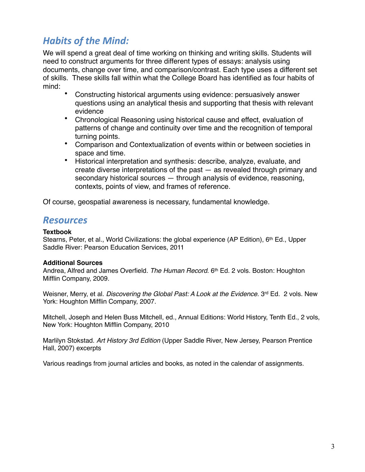# **Habits of the Mind:**

We will spend a great deal of time working on thinking and writing skills. Students will need to construct arguments for three different types of essays: analysis using documents, change over time, and comparison/contrast. Each type uses a different set of skills. These skills fall within what the College Board has identified as four habits of mind:

- Constructing historical arguments using evidence: persuasively answer questions using an analytical thesis and supporting that thesis with relevant evidence
- Chronological Reasoning using historical cause and effect, evaluation of patterns of change and continuity over time and the recognition of temporal turning points.
- Comparison and Contextualization of events within or between societies in space and time.
- Historical interpretation and synthesis: describe, analyze, evaluate, and create diverse interpretations of the past — as revealed through primary and secondary historical sources — through analysis of evidence, reasoning, contexts, points of view, and frames of reference.

Of course, geospatial awareness is necessary, fundamental knowledge.

### *Resources*

#### **Textbook**

Stearns, Peter, et al., World Civilizations: the global experience (AP Edition), 6<sup>th</sup> Ed., Upper Saddle River: Pearson Education Services, 2011

#### **Additional Sources**

Andrea, Alfred and James Overfield. *The Human Record*. 6th Ed. 2 vols. Boston: Houghton Mifflin Company, 2009.

Weisner, Merry, et al. *Discovering the Global Past: A Look at the Evidence.* 3<sup>rd</sup> Ed. 2 vols. New York: Houghton Mifflin Company, 2007.

Mitchell, Joseph and Helen Buss Mitchell, ed., Annual Editions: World History, Tenth Ed., 2 vols, New York: Houghton Mifflin Company, 2010

Marlilyn Stokstad. *Art History 3rd Edition* (Upper Saddle River, New Jersey, Pearson Prentice Hall, 2007) excerpts

Various readings from journal articles and books, as noted in the calendar of assignments.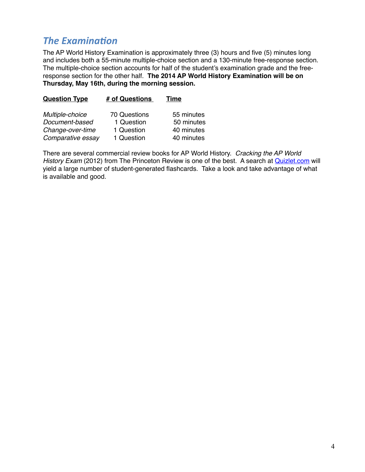# **The Examination**

The AP World History Examination is approximately three (3) hours and five (5) minutes long and includes both a 55-minute multiple-choice section and a 130-minute free-response section. The multiple-choice section accounts for half of the student's examination grade and the freeresponse section for the other half. **The 2014 AP World History Examination will be on Thursday, May 16th, during the morning session.**

| <b>Question Type</b> | # of Questions      | Time       |
|----------------------|---------------------|------------|
| Multiple-choice      | <b>70 Questions</b> | 55 minutes |
| Document-based       | 1 Question          | 50 minutes |
| Change-over-time     | 1 Question          | 40 minutes |
| Comparative essay    | 1 Question          | 40 minutes |

There are several commercial review books for AP World History. *Cracking the AP World History Exam* (2012) from The Princeton Review is one of the best. A search at **Quizlet.com** will yield a large number of student-generated flashcards. Take a look and take advantage of what is available and good.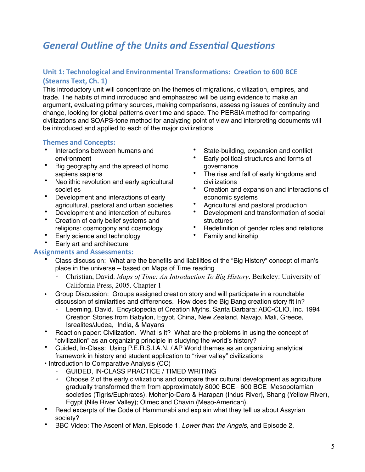# **General Outline of the Units and Essential Questions**

#### **Unit 1: Technological and Environmental Transformations: Creation to 600 BCE (Stearns Text, Ch. 1)**

This introductory unit will concentrate on the themes of migrations, civilization, empires, and trade. The habits of mind introduced and emphasized will be using evidence to make an argument, evaluating primary sources, making comparisons, assessing issues of continuity and change, looking for global patterns over time and space. The PERSIA method for comparing civilizations and SOAPS-tone method for analyzing point of view and interpreting documents will be introduced and applied to each of the major civilizations

#### **Themes and Concepts:**

- Interactions between humans and environment
- Big geography and the spread of homo sapiens sapiens
- Neolithic revolution and early agricultural societies
- Development and interactions of early agricultural, pastoral and urban societies
- Development and interaction of cultures
- Creation of early belief systems and religions: cosmogony and cosmology
- Early science and technology
- Early art and architecture

#### **Assignments and Assessments:**

- State-building, expansion and conflict
- Early political structures and forms of governance
- The rise and fall of early kingdoms and civilizations
- Creation and expansion and interactions of economic systems
- Agricultural and pastoral production
- Development and transformation of social structures
- Redefinition of gender roles and relations
- Family and kinship
- Class discussion: What are the benefits and liabilities of the "Big History" concept of man's place in the universe – based on Maps of Time reading
	- Christian, David. *Maps of Time: An Introduction To Big History*. Berkeley: University of California Press, 2005. Chapter 1
- Group Discussion: Groups assigned creation story and will participate in a roundtable discussion of similarities and differences. How does the Big Bang creation story fit in?
	- Leeming, David. Encyclopedia of Creation Myths. Santa Barbara: ABC-CLIO, Inc. 1994 Creation Stories from Babylon, Egypt, China, New Zealand, Navajo, Mali, Greece, Isrealites/Judea, India, & Mayans
- Reaction paper: Civilization. What is it? What are the problems in using the concept of "civilization" as an organizing principle in studying the world's history?
- Guided, In-Class: Using P.E.R.S.I.A.N. / AP World themes as an organizing analytical framework in history and student application to "river valley" civilizations
- Introduction to Comparative Analysis (CC)
	- GUIDED, IN-CLASS PRACTICE / TIMED WRITING
	- Choose 2 of the early civilizations and compare their cultural development as agriculture gradually transformed them from approximately 8000 BCE– 600 BCE Mesopotamian societies (Tigris/Euphrates), Mohenjo-Daro & Harapan (Indus River), Shang (Yellow River), Egypt (Nile River Valley); Olmec and Chavin (Meso-American).
- Read excerpts of the Code of Hammurabi and explain what they tell us about Assyrian society?
- BBC Video: The Ascent of Man, Episode 1, *Lower than the Angels,* and Episode 2,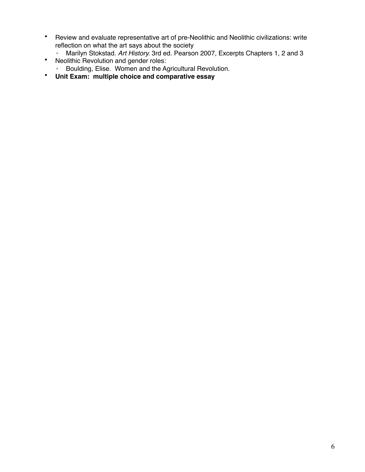- Review and evaluate representative art of pre-Neolithic and Neolithic civilizations: write reflection on what the art says about the society
	- Marilyn Stokstad. *Art History.* 3rd ed. Pearson 2007, Excerpts Chapters 1, 2 and 3
- Neolithic Revolution and gender roles:
	- Boulding, Elise. Women and the Agricultural Revolution.
- **Unit Exam: multiple choice and comparative essay**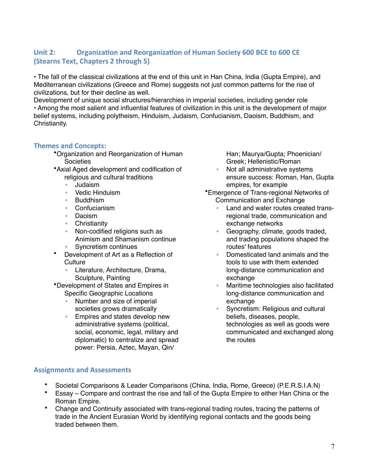### Unit 2: Organization and Reorganization of Human Society 600 BCE to 600 CE **(Stearns Text, Chapters 2 through 5)**

• The fall of the classical civilizations at the end of this unit in Han China, India (Gupta Empire), and Mediterranean civilizations (Greece and Rome) suggests not just common patterns for the rise of civilizations, but for their decline as well.

Development of unique social structures/hierarchies in imperial societies, including gender role • Among the most salient and influential features of civilization in this unit is the development of major belief systems, including polytheism, Hinduism, Judaism, Confucianism, Daoism, Buddhism, and Christianity.

#### **Themes and Concepts:**

- •Organization and Reorganization of Human **Societies**
- •Axial Aged development and codification of religious and cultural traditions
	- Judaism
	- Vedic Hinduism
	- **Buddhism**
	- Confucianism
	- Daoism
	- Christianity
	- Non-codified religions such as Animism and Shamanism continue ◦ Syncretism continues
- Development of Art as a Reflection of **Culture** 
	- Literature, Architecture, Drama, Sculpture, Painting

•Development of States and Empires in Specific Geographic Locations

- Number and size of imperial societies grows dramatically
- Empires and states develop new administrative systems (political, social, economic, legal, military and diplomatic) to centralize and spread power: Persia, Aztec, Mayan, Qin/

Han; Maurya/Gupta; Phoenician/ Greek; Hellenistic/Roman

- Not all administrative systems ensure success: Roman, Han, Gupta empires, for example
- •Emergence of Trans-regional Networks of Communication and Exchange
	- Land and water routes created transregional trade, communication and exchange networks
	- Geography, climate, goods traded, and trading populations shaped the routes' features
	- Domesticated land animals and the tools to use with them extended long-distance communication and exchange
	- Maritime technologies also facilitated long-distance communication and exchange
	- Syncretism: Religious and cultural beliefs, diseases, people, technologies as well as goods were communicated and exchanged along the routes

#### **Assignments and Assessments**

- Societal Comparisons & Leader Comparisons (China, India, Rome, Greece) (P.E.R.S.I.A.N)
- Essay Compare and contrast the rise and fall of the Gupta Empire to either Han China or the Roman Empire.
- Change and Continuity associated with trans-regional trading routes, tracing the patterns of trade in the Ancient Eurasian World by identifying regional contacts and the goods being traded between them.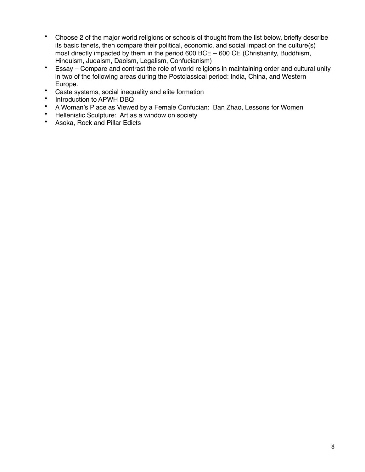- Choose 2 of the major world religions or schools of thought from the list below, briefly describe its basic tenets, then compare their political, economic, and social impact on the culture(s) most directly impacted by them in the period 600 BCE – 600 CE (Christianity, Buddhism, Hinduism, Judaism, Daoism, Legalism, Confucianism)
- Essay Compare and contrast the role of world religions in maintaining order and cultural unity in two of the following areas during the Postclassical period: India, China, and Western Europe.
- Caste systems, social inequality and elite formation
- Introduction to APWH DBQ<br>• A Woman's Place as Viewer
- A Woman's Place as Viewed by a Female Confucian: Ban Zhao, Lessons for Women
- Hellenistic Sculpture: Art as a window on society<br>• Asoka Bock and Pillar Edicts
- Asoka, Rock and Pillar Edicts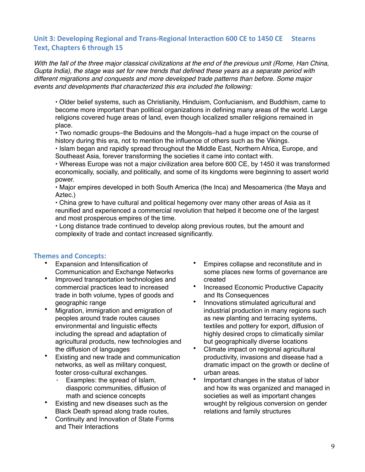#### Unit 3: Developing Regional and Trans-Regional Interaction 600 CE to 1450 CE Stearns **Text, Chapters 6 through 15**

*With the fall of the three major classical civilizations at the end of the previous unit (Rome, Han China, Gupta India), the stage was set for new trends that defined these years as a separate period with different migrations and conquests and more developed trade patterns than before. Some major events and developments that characterized this era included the following:*

• Older belief systems, such as Christianity, Hinduism, Confucianism, and Buddhism, came to become more important than political organizations in defining many areas of the world. Large religions covered huge areas of land, even though localized smaller religions remained in place.

• Two nomadic groups–the Bedouins and the Mongols–had a huge impact on the course of history during this era, not to mention the influence of others such as the Vikings.

• Islam began and rapidly spread throughout the Middle East, Northern Africa, Europe, and Southeast Asia, forever transforming the societies it came into contact with.

• Whereas Europe was not a major civilization area before 600 CE, by 1450 it was transformed economically, socially, and politically, and some of its kingdoms were beginning to assert world power.

• Major empires developed in both South America (the Inca) and Mesoamerica (the Maya and Aztec.)

• China grew to have cultural and political hegemony over many other areas of Asia as it reunified and experienced a commercial revolution that helped it become one of the largest and most prosperous empires of the time.

• Long distance trade continued to develop along previous routes, but the amount and complexity of trade and contact increased significantly.

#### **Themes and Concepts:**

- Expansion and Intensification of Communication and Exchange Networks
- Improved transportation technologies and commercial practices lead to increased trade in both volume, types of goods and geographic range
- Migration, immigration and emigration of peoples around trade routes causes environmental and linguistic effects including the spread and adaptation of agricultural products, new technologies and the diffusion of languages
- Existing and new trade and communication networks, as well as military conquest, foster cross-cultural exchanges.
	- Examples: the spread of Islam, diasporic communities, diffusion of math and science concepts
- Existing and new diseases such as the Black Death spread along trade routes,
- Continuity and Innovation of State Forms and Their Interactions
- Empires collapse and reconstitute and in some places new forms of governance are created
- Increased Economic Productive Capacity and Its Consequences
- Innovations stimulated agricultural and industrial production in many regions such as new planting and terracing systems, textiles and pottery for export, diffusion of highly desired crops to climatically similar but geographically diverse locations
- Climate impact on regional agricultural productivity, invasions and disease had a dramatic impact on the growth or decline of urban areas.
- Important changes in the status of labor and how its was organized and managed in societies as well as important changes wrought by religious conversion on gender relations and family structures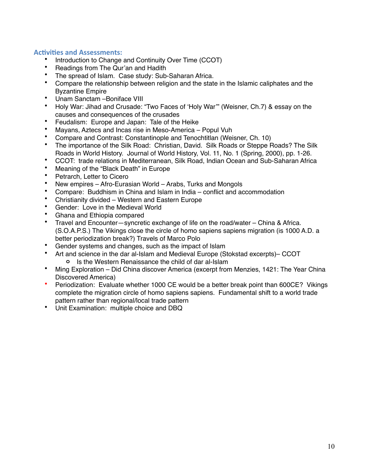#### **Activities and Assessments:**

- Introduction to Change and Continuity Over Time (CCOT)
- Readings from The Qur'an and Hadith
- The spread of Islam. Case study: Sub-Saharan Africa.
- Compare the relationship between religion and the state in the Islamic caliphates and the Byzantine Empire
- Unam Sanctam Boniface VIII<br>• Holy War: Jihad and Crusade:
- Holy War: Jihad and Crusade: "Two Faces of 'Holy War'" (Weisner, Ch.7) & essay on the causes and consequences of the crusades
- Feudalism: Europe and Japan: Tale of the Heike
- Mayans, Aztecs and Incas rise in Meso-America Popul Vuh
- Compare and Contrast: Constantinople and Tenochtitlan (Weisner, Ch. 10)
- The importance of the Silk Road: Christian, David. Silk Roads or Steppe Roads? The Silk Roads in World History. Journal of World History, Vol. 11, No. 1 (Spring, 2000), pp. 1-26.
- CCOT: trade relations in Mediterranean, Silk Road, Indian Ocean and Sub-Saharan Africa<br>• Meaning of the "Black Death" in Europe
- Meaning of the "Black Death" in Europe
- Petrarch, Letter to Cicero
- New empires Afro-Eurasian World Arabs, Turks and Mongols
- Compare: Buddhism in China and Islam in India conflict and accommodation
- Christianity divided Western and Eastern Europe
- Gender: Love in the Medieval World
- Ghana and Ethiopia compared<br>• Travel and Encounter—syncreti
- Travel and Encounter—syncretic exchange of life on the road/water China & Africa. (S.O.A.P.S.) The Vikings close the circle of homo sapiens sapiens migration (is 1000 A.D. a better periodization break?) Travels of Marco Polo
- Gender systems and changes, such as the impact of Islam
- Art and science in the dar al-Islam and Medieval Europe (Stokstad excerpts)– CCOT **o** Is the Western Renaissance the child of dar al-Islam
- Ming Exploration Did China discover America (excerpt from Menzies, 1421: The Year China Discovered America)
- Periodization: Evaluate whether 1000 CE would be a better break point than 600CE? Vikings complete the migration circle of homo sapiens sapiens. Fundamental shift to a world trade pattern rather than regional/local trade pattern
- Unit Examination: multiple choice and DBQ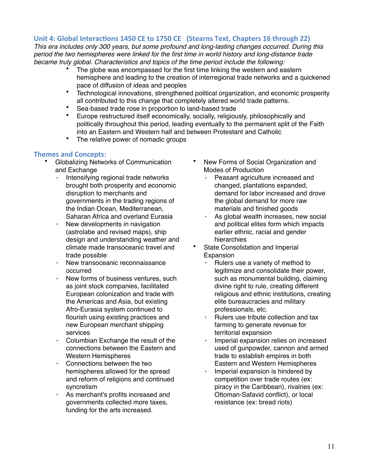#### Unit 4: Global Interactions 1450 CE to 1750 CE (Stearns Text, Chapters 16 through 22)

*This era includes only 300 years, but some profound and long-lasting changes occurred. During this period the two hemispheres were linked for the first time in world history and long-distance trade became truly global. Characteristics and topics of the time period include the following:*

- The globe was encompassed for the first time linking the western and eastern hemisphere and leading to the creation of interregional trade networks and a quickened pace of diffusion of ideas and peoples
- Technological innovations, strengthened political organization, and economic prosperity all contributed to this change that completely altered world trade patterns.
- Sea-based trade rose in proportion to land-based trade
- Europe restructured itself economically, socially, religiously, philosophically and politically throughout this period, leading eventually to the permanent split of the Faith into an Eastern and Western half and between Protestant and Catholic
- The relative power of nomadic groups

#### **Themes and Concepts:**

- Globalizing Networks of Communication and Exchange
	- Intensifying regional trade networks brought both prosperity and economic disruption to merchants and governments in the trading regions of the Indian Ocean, Mediterranean, Saharan Africa and overland Eurasia
	- New developments in navigation (astrolabe and revised maps), ship design and understanding weather and climate made transoceanic travel and trade possible
	- New transoceanic reconnaissance occurred
	- New forms of business ventures, such as joint stock companies, facilitated European colonization and trade with the Americas and Asia, but existing Afro-Eurasia system continued to flourish using existing practices and new European merchant shipping services
	- Columbian Exchange the result of the connections between the Eastern and Western Hemispheres
	- Connections between the two hemispheres allowed for the spread and reform of religions and continued syncretism
	- As merchant's profits increased and governments collected more taxes, funding for the arts increased.
- New Forms of Social Organization and Modes of Production
	- Peasant agriculture increased and changed, plantations expanded, demand for labor increased and drove the global demand for more raw materials and finished goods
	- As global wealth increases, new social and political elites form which impacts earlier ethnic, racial and gender hierarchies
- State Consolidation and Imperial Expansion
	- Rulers use a variety of method to legitimize and consolidate their power, such as monumental building, claiming divine right to rule, creating different religious and ethnic institutions, creating elite bureaucracies and military professionals, etc.
	- Rulers use tribute collection and tax farming to generate revenue for territorial expansion
	- Imperial expansion relies on increased used of gunpowder, cannon and armed trade to establish empires in both Eastern and Western Hemispheres
	- Imperial expansion is hindered by competition over trade routes (ex: piracy in the Caribbean), rivalries (ex: Ottoman-Safavid conflict), or local resistance (ex: bread riots)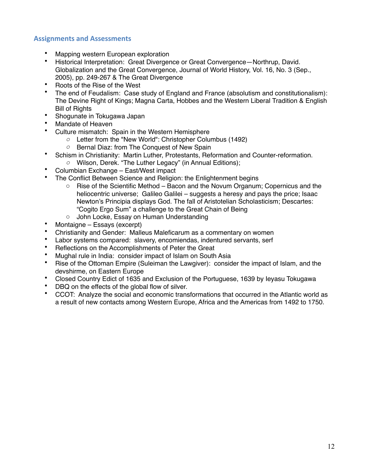#### **Assignments and Assessments**

- Mapping western European exploration
- Historical Interpretation: Great Divergence or Great Convergence—Northrup, David. Globalization and the Great Convergence, Journal of World History, Vol. 16, No. 3 (Sep., 2005), pp. 249-267 & The Great Divergence
- Roots of the Rise of the West
- The end of Feudalism: Case study of England and France (absolutism and constitutionalism): The Devine Right of Kings; Magna Carta, Hobbes and the Western Liberal Tradition & English Bill of Rights
- Shogunate in Tokugawa Japan
- Mandate of Heaven
- Culture mismatch: Spain in the Western Hemisphere
	- *o* Letter from the "New World": Christopher Columbus (1492)
	- *o* Bernal Diaz: from The Conquest of New Spain
- Schism in Christianity: Martin Luther, Protestants, Reformation and Counter-reformation.
	- *o* Wilson, Derek. "The Luther Legacy" (in Annual Editions);
- Columbian Exchange East/West impact
- The Conflict Between Science and Religion: the Enlightenment begins
	- $\circ$  Rise of the Scientific Method Bacon and the Novum Organum; Copernicus and the heliocentric universe; Galileo Galilei – suggests a heresy and pays the price; Isaac Newton's Principia displays God. The fall of Aristotelian Scholasticism; Descartes: "Cogito Ergo Sum" a challenge to the Great Chain of Being
	- o John Locke, Essay on Human Understanding
- Montaigne Essays (excerpt)
- Christianity and Gender: Malleus Maleficarum as a commentary on women
- Labor systems compared: slavery, encomiendas, indentured servants, serf
- Reflections on the Accomplishments of Peter the Great
- Mughal rule in India: consider impact of Islam on South Asia
- Rise of the Ottoman Empire (Suleiman the Lawgiver): consider the impact of Islam, and the devshirme, on Eastern Europe
- Closed Country Edict of 1635 and Exclusion of the Portuguese, 1639 by Ieyasu Tokugawa
- DBQ on the effects of the global flow of silver.
- CCOT: Analyze the social and economic transformations that occurred in the Atlantic world as a result of new contacts among Western Europe, Africa and the Americas from 1492 to 1750.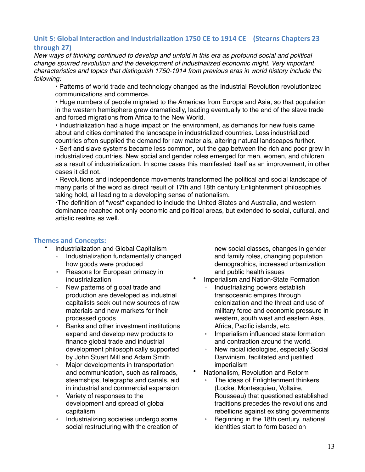#### Unit 5: Global Interaction and Industrialization 1750 CE to 1914 CE (Stearns Chapters 23 **through 27)**

*New ways of thinking continued to develop and unfold in this era as profound social and political change spurred revolution and the development of industrialized economic might. Very important characteristics and topics that distinguish 1750-1914 from previous eras in world history include the following:*

• Patterns of world trade and technology changed as the Industrial Revolution revolutionized communications and commerce.

• Huge numbers of people migrated to the Americas from Europe and Asia, so that population in the western hemisphere grew dramatically, leading eventually to the end of the slave trade and forced migrations from Africa to the New World.

• Industrialization had a huge impact on the environment, as demands for new fuels came about and cities dominated the landscape in industrialized countries. Less industrialized countries often supplied the demand for raw materials, altering natural landscapes further.

• Serf and slave systems became less common, but the gap between the rich and poor grew in industrialized countries. New social and gender roles emerged for men, women, and children as a result of industrialization. In some cases this manifested itself as an improvement, in other cases it did not.

• Revolutions and independence movements transformed the political and social landscape of many parts of the word as direct result of 17th and 18th century Enlightenment philosophies taking hold, all leading to a developing sense of nationalism.

•The definition of "west" expanded to include the United States and Australia, and western dominance reached not only economic and political areas, but extended to social, cultural, and artistic realms as well.

#### **Themes and Concepts:**

- Industrialization and Global Capitalism
	- Industrialization fundamentally changed how goods were produced
	- Reasons for European primacy in industrialization
	- New patterns of global trade and production are developed as industrial capitalists seek out new sources of raw materials and new markets for their processed goods
	- Banks and other investment institutions expand and develop new products to finance global trade and industrial development philosophically supported by John Stuart Mill and Adam Smith
	- Major developments in transportation and communication, such as railroads, steamships, telegraphs and canals, aid in industrial and commercial expansion
	- Variety of responses to the development and spread of global capitalism
	- Industrializing societies undergo some social restructuring with the creation of

new social classes, changes in gender and family roles, changing population demographics, increased urbanization and public health issues

- Imperialism and Nation-State Formation
	- Industrializing powers establish transoceanic empires through colonization and the threat and use of military force and economic pressure in western, south west and eastern Asia, Africa, Pacific islands, etc.
	- Imperialism influenced state formation and contraction around the world.
	- New racial ideologies, especially Social Darwinism, facilitated and justified imperialism
- Nationalism, Revolution and Reform
	- The ideas of Enlightenment thinkers (Locke, Montesquieu, Voltaire, Rousseau) that questioned established traditions precedes the revolutions and rebellions against existing governments
	- Beginning in the 18th century, national identities start to form based on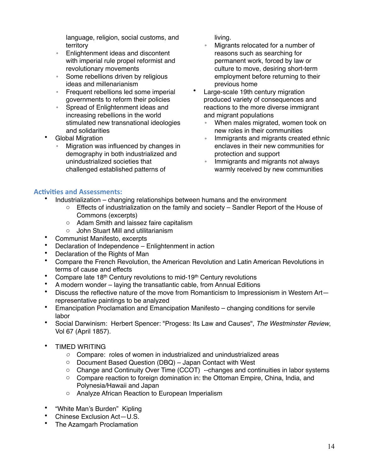language, religion, social customs, and territory

- Enlightenment ideas and discontent with imperial rule propel reformist and revolutionary movements
- Some rebellions driven by religious ideas and millenarianism
- Frequent rebellions led some imperial governments to reform their policies
- Spread of Enlightenment ideas and increasing rebellions in the world stimulated new transnational ideologies and solidarities
- Global Migration
	- Migration was influenced by changes in demography in both industrialized and unindustrialized societies that challenged established patterns of

living.

- Migrants relocated for a number of reasons such as searching for permanent work, forced by law or culture to move, desiring short-term employment before returning to their previous home
- Large-scale 19th century migration produced variety of consequences and reactions to the more diverse immigrant and migrant populations
	- When males migrated, women took on new roles in their communities
	- Immigrants and migrants created ethnic enclaves in their new communities for protection and support
	- Immigrants and migrants not always warmly received by new communities

#### **Activities and Assessments:**

- Industrialization changing relationships between humans and the environment
	- $\circ$  Effects of industrialization on the family and society Sandler Report of the House of Commons (excerpts)
		- o Adam Smith and laissez faire capitalism
	- o John Stuart Mill and utilitarianism
- Communist Manifesto, excerpts
- Declaration of Independence Enlightenment in action
- Declaration of the Rights of Man<br>• Compare the Erench Boyolution
- Compare the French Revolution, the American Revolution and Latin American Revolutions in terms of cause and effects
- Compare late 18<sup>th</sup> Century revolutions to mid-19<sup>th</sup> Century revolutions
- A modern wonder laying the transatlantic cable, from Annual Editions<br>• Discuss the reflective nature of the move from Bomanticism to Impressi
- Discuss the reflective nature of the move from Romanticism to Impressionism in Western Art representative paintings to be analyzed
- Emancipation Proclamation and Emancipation Manifesto changing conditions for servile labor
- Social Darwinism: Herbert Spencer: "Progess: Its Law and Causes", *The Westminster Review*, Vol 67 (April 1857).
- TIMED WRITING
	- *o* Compare: roles of women in industrialized and unindustrialized areas
	- o Document Based Question (DBQ) Japan Contact with West
	- o Change and Continuity Over Time (CCOT) --changes and continuities in labor systems
	- o Compare reaction to foreign domination in: the Ottoman Empire, China, India, and Polynesia/Hawaii and Japan
	- o Analyze African Reaction to European Imperialism
- "White Man's Burden" Kipling
- Chinese Exclusion Act—U.S.
- The Azamgarh Proclamation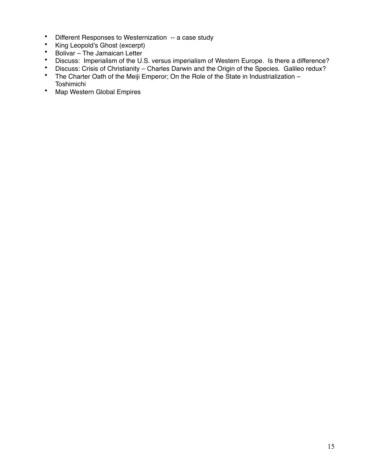- Different Responses to Westernization -- a case study<br>• King Leopold's Ghost (excernt)
- King Leopold's Ghost (excerpt)
- Bolivar The Jamaican Letter<br>• Discuss: Imperialism of the U.
- Discuss: Imperialism of the U.S. versus imperialism of Western Europe. Is there a difference?<br>• Discuss: Crisis of Christianity Charles Darwin and the Origin of the Species. Galileo redux?
- Discuss: Crisis of Christianity Charles Darwin and the Origin of the Species. Galileo redux?
- The Charter Oath of the Meiji Emperor; On the Role of the State in Industrialization Toshimichi
- Map Western Global Empires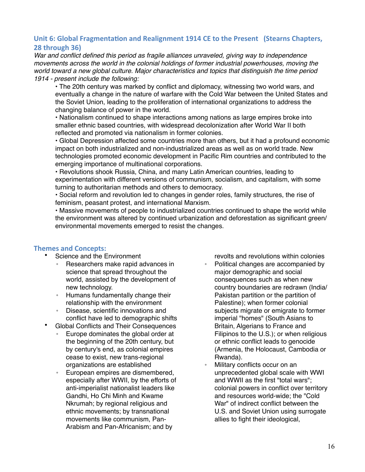#### Unit 6: Global Fragmentation and Realignment 1914 CE to the Present (Stearns Chapters, **28 through 36)**

*War and conflict defined this period as fragile alliances unraveled, giving way to independence movements across the world in the colonial holdings of former industrial powerhouses, moving the world toward a new global culture. Major characteristics and topics that distinguish the time period 1914 - present include the following:*

• The 20th century was marked by conflict and diplomacy, witnessing two world wars, and eventually a change in the nature of warfare with the Cold War between the United States and the Soviet Union, leading to the proliferation of international organizations to address the changing balance of power in the world.

• Nationalism continued to shape interactions among nations as large empires broke into smaller ethnic based countries, with widespread decolonization after World War II both reflected and promoted via nationalism in former colonies.

• Global Depression affected some countries more than others, but it had a profound economic impact on both industrialized and non-industrialized areas as well as on world trade. New technologies promoted economic development in Pacific Rim countries and contributed to the emerging importance of multinational corporations.

• Revolutions shook Russia, China, and many Latin American countries, leading to experimentation with different versions of communism, socialism, and capitalism, with some turning to authoritarian methods and others to democracy.

• Social reform and revolution led to changes in gender roles, family structures, the rise of feminism, peasant protest, and international Marxism.

• Massive movements of people to industrialized countries continued to shape the world while the environment was altered by continued urbanization and deforestation as significant green/ environmental movements emerged to resist the changes.

#### **Themes and Concepts:**

- Science and the Environment
	- Researchers make rapid advances in science that spread throughout the world, assisted by the development of new technology.
	- Humans fundamentally change their relationship with the environment
	- Disease, scientific innovations and conflict have led to demographic shifts
- Global Conflicts and Their Consequences
	- Europe dominates the global order at the beginning of the 20th century, but by century's end, as colonial empires cease to exist, new trans-regional organizations are established
	- European empires are dismembered, especially after WWII, by the efforts of anti-imperialist nationalist leaders like Gandhi, Ho Chi Minh and Kwame Nkrumah; by regional religious and ethnic movements; by transnational movements like communism, Pan-Arabism and Pan-Africanism; and by

revolts and revolutions within colonies

- Political changes are accompanied by major demographic and social consequences such as when new country boundaries are redrawn (India/ Pakistan partition or the partition of Palestine); when former colonial subjects migrate or emigrate to former imperial "homes" (South Asians to Britain, Algerians to France and Filipinos to the U.S.); or when religious or ethnic conflict leads to genocide (Armenia, the Holocaust, Cambodia or Rwanda).
- Military conflicts occur on an unprecedented global scale with WWI and WWII as the first "total wars"; colonial powers in conflict over territory and resources world-wide; the "Cold War" of indirect conflict between the U.S. and Soviet Union using surrogate allies to fight their ideological,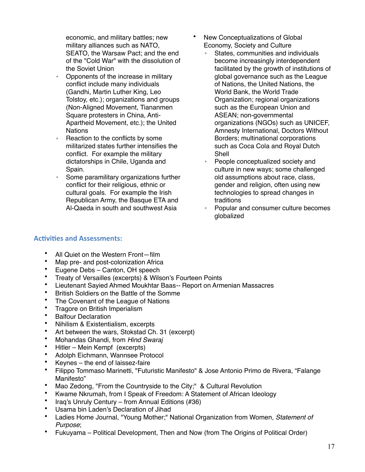economic, and military battles; new military alliances such as NATO, SEATO, the Warsaw Pact; and the end of the "Cold War" with the dissolution of the Soviet Union

- Opponents of the increase in military conflict include many individuals (Gandhi, Martin Luther King, Leo Tolstoy, etc.); organizations and groups (Non-Aligned Movement, Tiananmen Square protesters in China, Anti-Apartheid Movement, etc.); the United **Nations**
- Reaction to the conflicts by some militarized states further intensifies the conflict. For example the military dictatorships in Chile, Uganda and Spain.
- Some paramilitary organizations further conflict for their religious, ethnic or cultural goals. For example the Irish Republican Army, the Basque ETA and Al-Qaeda in south and southwest Asia
- New Conceptualizations of Global Economy, Society and Culture
	- States, communities and individuals become increasingly interdependent facilitated by the growth of institutions of global governance such as the League of Nations, the United Nations, the World Bank, the World Trade Organization; regional organizations such as the European Union and ASEAN; non-governmental organizations (NGOs) such as UNICEF, Amnesty International, Doctors Without Borders; multinational corporations such as Coca Cola and Royal Dutch Shell
	- People conceptualized society and culture in new ways; some challenged old assumptions about race, class, gender and religion, often using new technologies to spread changes in traditions
	- Popular and consumer culture becomes globalized

#### **Activities and Assessments:**

- All Quiet on the Western Front—film
- Map pre- and post-colonization Africa
- Eugene Debs Canton, OH speech
- Treaty of Versailles (excerpts) & Wilson's Fourteen Points
- Lieutenant Sayied Ahmed Moukhtar Baas*--* Report on Armenian Massacres
- British Soldiers on the Battle of the Somme
- The Covenant of the League of Nations<br>• Tragers on British Importation
- Tragore on British Imperialism
- Balfour Declaration<br>• Nibilism & Existentia
- Nihilism & Existentialism, excerpts<br>• Art between the ware, Steketad Ch
- Art between the wars, Stokstad Ch. 31 (excerpt)<br>• Mohandas Ghandi, from Hind Swarai
- Mohandas Ghandi, from *Hind Swaraj*
- Hitler Mein Kempf (excerpts)<br>• Adolph Fichmann, Wannsee Pr
- Adolph Eichmann, Wannsee Protocol
- Keynes the end of laissez-faire<br>• Filippo Tommaso Marinetti "Futur
- Filippo Tommaso Marinetti, "Futuristic Manifesto" & Jose Antonio Primo de Rivera, "Falange Manifesto"
- Mao Zedong, "From the Countryside to the City;" & Cultural Revolution
- Kwame Nkrumah, from I Speak of Freedom: A Statement of African Ideology
- Iraq's Unruly Century from Annual Editions (#36)
- Usama bin Laden's Declaration of Jihad<br>• Ladies Home Journal "Young Mother" N
- Ladies Home Journal, "Young Mother;" National Organization from Women, *Statement of Purpose*;
- Fukuyama Political Development, Then and Now (from The Origins of Political Order)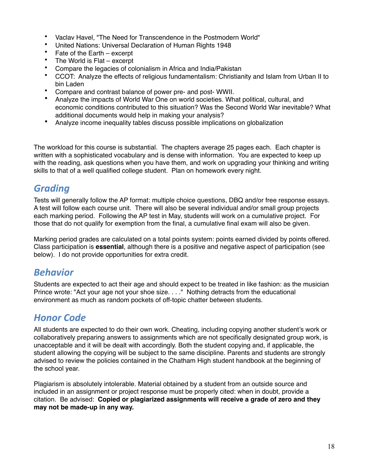- Vaclav Havel, "The Need for Transcendence in the Postmodern World"
- United Nations: Universal Declaration of Human Rights 1948
- Fate of the Earth excerpt
- The World is Flat excerpt
- Compare the legacies of colonialism in Africa and India/Pakistan
- CCOT: Analyze the effects of religious fundamentalism: Christianity and Islam from Urban II to bin Laden
- Compare and contrast balance of power pre- and post- WWII.
- Analyze the impacts of World War One on world societies. What political, cultural, and economic conditions contributed to this situation? Was the Second World War inevitable? What additional documents would help in making your analysis?
- Analyze income inequality tables discuss possible implications on globalization

The workload for this course is substantial. The chapters average 25 pages each. Each chapter is written with a sophisticated vocabulary and is dense with information. You are expected to keep up with the reading, ask questions when you have them, and work on upgrading your thinking and writing skills to that of a well qualified college student. Plan on homework every night.

# *Grading*

Tests will generally follow the AP format: multiple choice questions, DBQ and/or free response essays. A test will follow each course unit. There will also be several individual and/or small group projects each marking period. Following the AP test in May, students will work on a cumulative project. For those that do not qualify for exemption from the final, a cumulative final exam will also be given.

Marking period grades are calculated on a total points system: points earned divided by points offered. Class participation is **essential**, although there is a positive and negative aspect of participation (see below). I do not provide opportunities for extra credit.

### *Behavior*

Students are expected to act their age and should expect to be treated in like fashion: as the musician Prince wrote: "Act your age not your shoe size. . . ." Nothing detracts from the educational environment as much as random pockets of off-topic chatter between students.

### *Honor Code*

All students are expected to do their own work. Cheating, including copying another student's work or collaboratively preparing answers to assignments which are not specifically designated group work, is unacceptable and it will be dealt with accordingly. Both the student copying and, if applicable, the student allowing the copying will be subject to the same discipline. Parents and students are strongly advised to review the policies contained in the Chatham High student handbook at the beginning of the school year.

Plagiarism is absolutely intolerable. Material obtained by a student from an outside source and included in an assignment or project response must be properly cited: when in doubt, provide a citation. Be advised: **Copied or plagiarized assignments will receive a grade of zero and they may not be made-up in any way.**